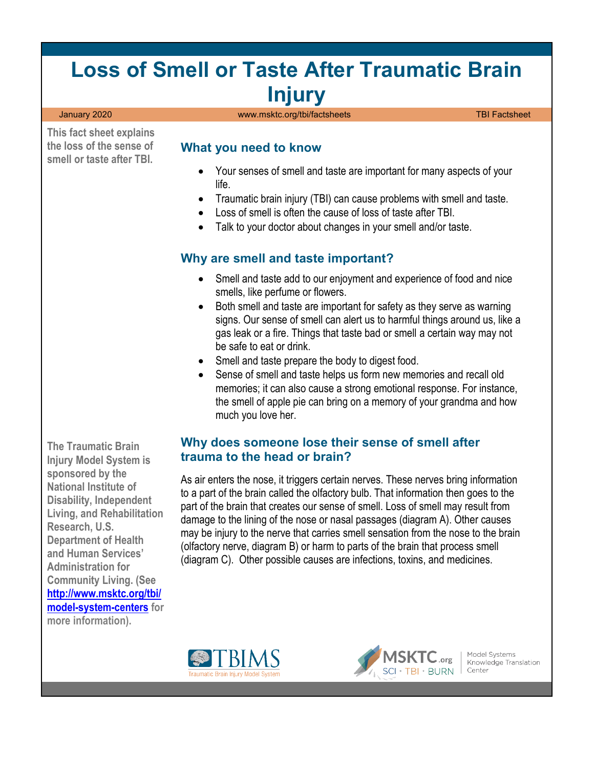# **Loss of Smell or Taste After Traumatic Brain Injury**

**This fact sheet explains the loss of the sense of smell or taste after TBI.** 

#### January 2020 [www.msktc.org/tbi/factsheets](https://www.msktc.org/tbi/factsheets) TBI Factsheet

#### **What you need to know**

- Your senses of smell and taste are important for many aspects of your life.
- Traumatic brain injury (TBI) can cause problems with smell and taste.
- Loss of smell is often the cause of loss of taste after TBI.
- Talk to your doctor about changes in your smell and/or taste.

#### **Why are smell and taste important?**

- Smell and taste add to our enjoyment and experience of food and nice smells, like perfume or flowers.
- Both smell and taste are important for safety as they serve as warning signs. Our sense of smell can alert us to harmful things around us, like a gas leak or a fire. Things that taste bad or smell a certain way may not be safe to eat or drink.
- Smell and taste prepare the body to digest food.
- Sense of smell and taste helps us form new memories and recall old memories; it can also cause a strong emotional response. For instance, the smell of apple pie can bring on a memory of your grandma and how much you love her.

#### **Why does someone lose their sense of smell after trauma to the head or brain?**

As air enters the nose, it triggers certain nerves. These nerves bring information to a part of the brain called the olfactory bulb. That information then goes to the part of the brain that creates our sense of smell. Loss of smell may result from damage to the lining of the nose or nasal passages (diagram A). Other causes may be injury to the nerve that carries smell sensation from the nose to the brain (olfactory nerve, diagram B) or harm to parts of the brain that process smell (diagram C). Other possible causes are infections, toxins, and medicines.



**The Traumatic Brain Injury Model System is** 





Model Systems Knowledge Translation Center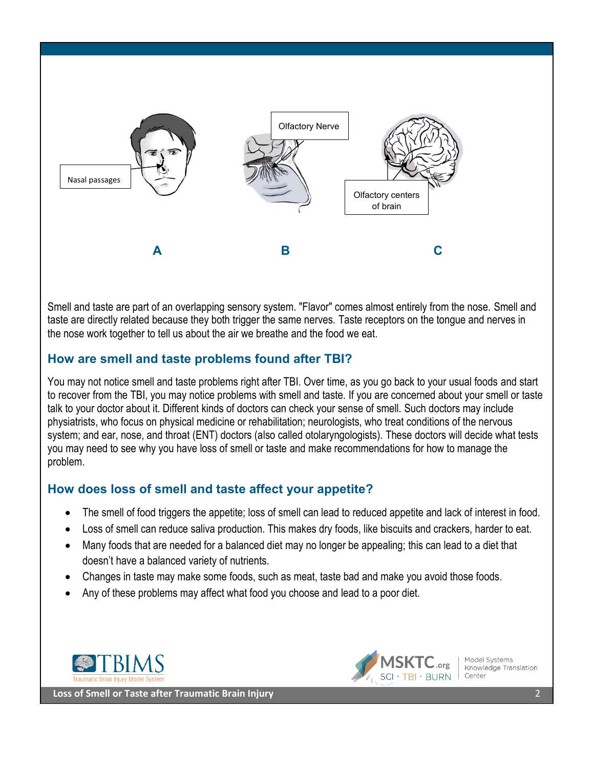

Smell and taste are part of an overlapping sensory system. "Flavor" comes almost entirely from the nose. Smell and taste are directly related because they both trigger the same nerves. Taste receptors on the tongue and nerves in the nose work together to tell us about the air we breathe and the food we eat.

#### **How are smell and taste problems found after TBI?**

You may not notice smell and taste problems right after TBI. Over time, as you go back to your usual foods and start to recover from the TBI, you may notice problems with smell and taste. If you are concerned about your smell or taste talk to your doctor about it. Different kinds of doctors can check your sense of smell. Such doctors may include physiatrists, who focus on physical medicine or rehabilitation; neurologists, who treat conditions of the nervous system; and ear, nose, and throat (ENT) doctors (also called otolaryngologists). These doctors will decide what tests you may need to see why you have loss of smell or taste and make recommendations for how to manage the problem.

## **How does loss of smell and taste affect your appetite?**

- The smell of food triggers the appetite; loss of smell can lead to reduced appetite and lack of interest in food.
- Loss of smell can reduce saliva production. This makes dry foods, like biscuits and crackers, harder to eat.
- Many foods that are needed for a balanced diet may no longer be appealing; this can lead to a diet that doesn't have a balanced variety of nutrients.
- Changes in taste may make some foods, such as meat, taste bad and make you avoid those foods.
- Any of these problems may affect what food you choose and lead to a poor diet.





Model Systems Knowledge Translation Center

**Loss of Smell or Taste after Traumatic Brain Injury** 2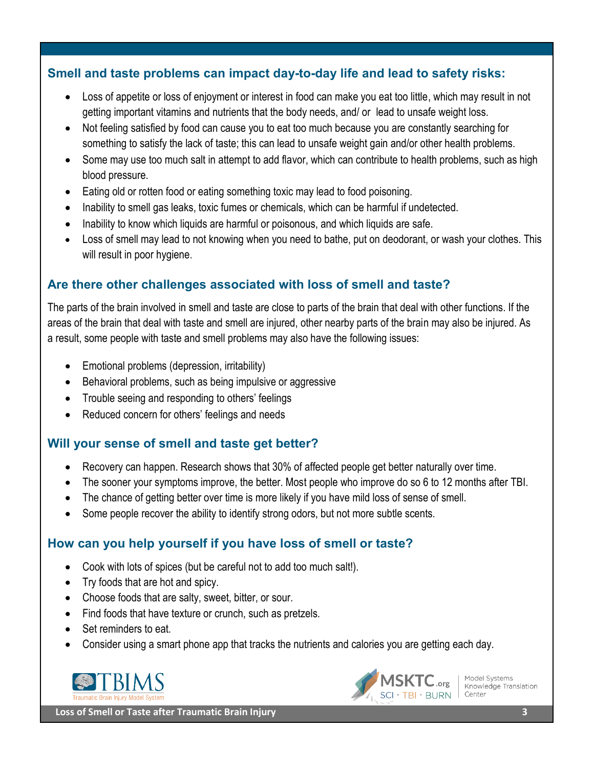#### **Smell and taste problems can impact day-to-day life and lead to safety risks:**

- Loss of appetite or loss of enjoyment or interest in food can make you eat too little, which may result in not getting important vitamins and nutrients that the body needs, and/ or lead to unsafe weight loss.
- Not feeling satisfied by food can cause you to eat too much because you are constantly searching for something to satisfy the lack of taste; this can lead to unsafe weight gain and/or other health problems.
- Some may use too much salt in attempt to add flavor, which can contribute to health problems, such as high blood pressure.
- Eating old or rotten food or eating something toxic may lead to food poisoning.
- Inability to smell gas leaks, toxic fumes or chemicals, which can be harmful if undetected.
- Inability to know which liquids are harmful or poisonous, and which liquids are safe.
- Loss of smell may lead to not knowing when you need to bathe, put on deodorant, or wash your clothes. This will result in poor hygiene.

# **Are there other challenges associated with loss of smell and taste?**

The parts of the brain involved in smell and taste are close to parts of the brain that deal with other functions. If the areas of the brain that deal with taste and smell are injured, other nearby parts of the brain may also be injured. As a result, some people with taste and smell problems may also have the following issues:

- Emotional problems (depression, irritability)
- Behavioral problems, such as being impulsive or aggressive
- Trouble seeing and responding to others' feelings
- Reduced concern for others' feelings and needs

## **Will your sense of smell and taste get better?**

- Recovery can happen. Research shows that 30% of affected people get better naturally over time.
- The sooner your symptoms improve, the better. Most people who improve do so 6 to 12 months after TBI.
- The chance of getting better over time is more likely if you have mild loss of sense of smell.
- Some people recover the ability to identify strong odors, but not more subtle scents.

## **How can you help yourself if you have loss of smell or taste?**

- Cook with lots of spices (but be careful not to add too much salt!).
- Try foods that are hot and spicy.
- Choose foods that are salty, sweet, bitter, or sour.
- Find foods that have texture or crunch, such as pretzels.
- Set reminders to eat.
- Consider using a smart phone app that tracks the nutrients and calories you are getting each day.





Model Systems Knowledge Translation Center

 **Loss of Smell or Taste after Traumatic Brain Injury 3**